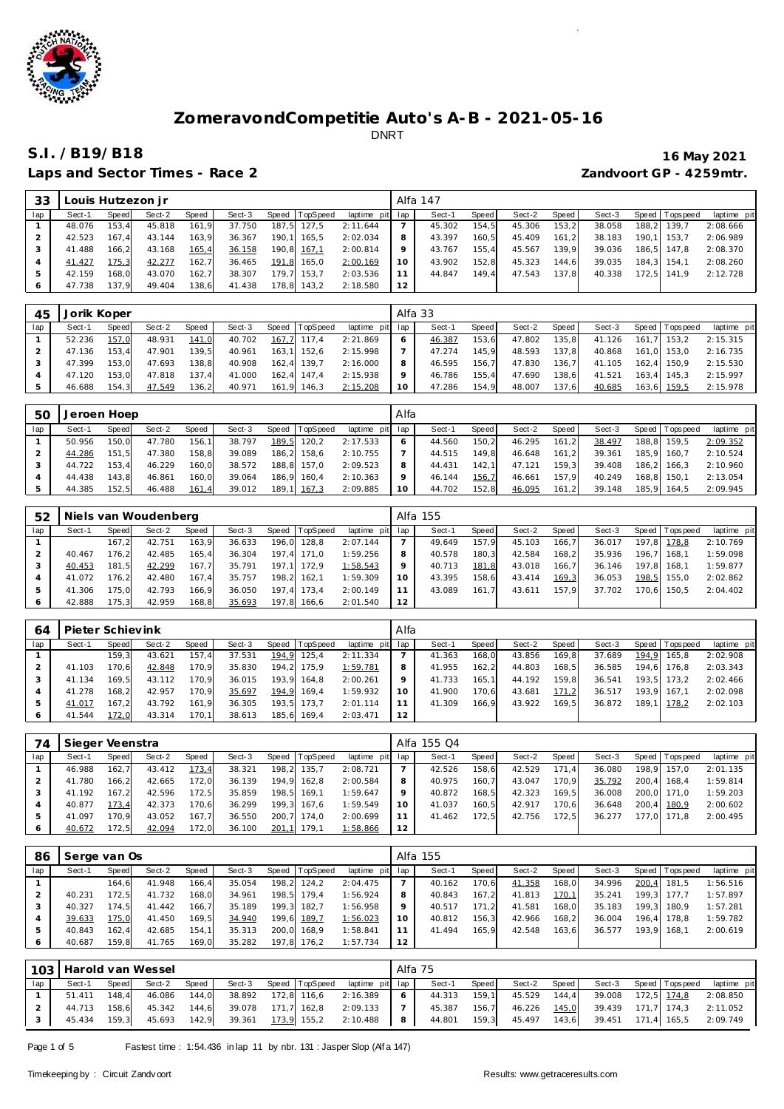

Laps and Sector Times - Race 2 *Zandvoort GP - 4259mtr.* 

## **S.I. /B19/B18 16 May 2021**

| 33  |        | ouis Hutzezon i r |        |       |        |       |          |             |     | Alfa 147 |       |        |       |        |       |                   |             |
|-----|--------|-------------------|--------|-------|--------|-------|----------|-------------|-----|----------|-------|--------|-------|--------|-------|-------------------|-------------|
| lap | Sect-1 | Speed             | Sect-2 | Speed | Sect-3 | Speed | TopSpeed | laptime pit | lap | Sect-1   | Speed | Sect-2 | Speed | Sect-3 |       | Speed   Tops peed | laptime pit |
|     | 48.076 | 153.4             | 45.818 | 161.9 | 37.750 | 187.5 | 127.5    | 2:11.644    |     | 45.302   | 154.5 | 45.306 | 153.2 | 38.058 | 188.2 | 139.7             | 2:08.666    |
|     | 42.523 | 167.4             | 43.144 | 163,9 | 36.367 | 190.1 | 165.5    | 2:02.034    | 8   | 43.397   | 160.5 | 45.409 | 161.2 | 38.183 | 190.1 | 153.7             | 2:06.989    |
|     | 41.488 | 166.2             | 43.168 | 165,4 | 36.158 | 190,8 | 167,1    | 2:00.814    |     | 43.767   | 155.4 | 45.567 | 139.9 | 39.036 |       | 186.5 147.8       | 2:08.370    |
|     | 41.427 | 175,3             | 42.277 | 162,7 | 36.465 | 191.8 | 165.0    | 2:00.169    | 10  | 43.902   | 152.8 | 45.323 | 144.6 | 39.035 |       | 184.3 154.1       | 2:08.260    |
|     | 42.159 | 168.0             | 43.070 | 162.7 | 38.307 | 179,7 | 153.7    | 2:03.536    |     | 44.847   | 149.4 | 47.543 | 137.8 | 40.338 |       | 172.5 141.9       | 2:12.728    |
|     | 47.738 | 137.9             | 49.404 | 138,6 | 41.438 | 78.8  | 143.2    | 2:18.580    | 12  |          |       |        |       |        |       |                   |             |

| 45  | Jorik Koper |       |        |       |        |       |                |                 | Alfa 33 |        |       |        |       |        |       |                 |             |
|-----|-------------|-------|--------|-------|--------|-------|----------------|-----------------|---------|--------|-------|--------|-------|--------|-------|-----------------|-------------|
| lap | Sect-1      | Speed | Sect-2 | Speed | Sect-3 |       | Speed TopSpeed | laptime pit lap |         | Sect-1 | Speed | Sect-2 | Speed | Sect-3 |       | Speed Tops peed | laptime pit |
|     | 52.236      | 157,0 | 48.931 | 141,0 | 40.702 | 167,7 | 117.4          | 2:21.869        | 6       | 46.387 | 153.6 | 47.802 | 135,8 | 41.126 | 161.7 | 153.2           | 2:15.315    |
|     | 47.136      | 153.4 | 47.901 | 139.5 | 40.961 |       | 163.1 152.6    | 2:15.998        |         | 47.274 | 145.9 | 48.593 | 137.8 | 40.868 |       | 161.0 153.0     | 2:16.735    |
|     | 47.399      | 153.0 | 47.693 | 138.8 | 40.908 |       | 162.4 139.7    | 2:16.000        | 8       | 46.595 | 156.7 | 47.830 | 136.7 | 41.105 |       | 162.4 150.9     | 2:15.530    |
|     | 47.120      | 153.0 | 47.818 | 137.4 | 41.000 | 162.4 | 147.4          | 2:15.938        | Q       | 46.786 | 155.4 | 47.690 | 138.6 | 41.521 | 163.4 | 145.3           | 2:15.997    |
|     | 46.688      | 154.3 | 47.549 | 136,2 | 40.971 | 161.9 | 146,3          | 2:15.208        | 10      | 47.286 | 154,9 | 48.007 | 137,6 | 40.685 |       | 163,6 159,5     | 2:15.978    |

| 50  | Jeroen Hoep |       |        |       |        |       |                |                 | Alfa |        |         |        |       |        |             |                   |             |
|-----|-------------|-------|--------|-------|--------|-------|----------------|-----------------|------|--------|---------|--------|-------|--------|-------------|-------------------|-------------|
| lap | Sect-1      | Speed | Sect-2 | Speed | Sect-3 |       | Speed TopSpeed | laptime pit lap |      | Sect-1 | Speed I | Sect-2 | Speed | Sect-3 |             | Speed   Tops peed | laptime pit |
|     | 50.956      | 150.0 | 47.780 | 156.1 | 38.797 | 189,5 | 120.2          | 2:17.533        | 6    | 44.560 | 150.2   | 46.295 | 161.2 | 38.497 |             | 188,8 159,5       | 2:09.352    |
|     | 44.286      | 151.5 | 47.380 | 158.8 | 39.089 |       | 186.2 158.6    | 2:10.755        |      | 44.515 | 149.8   | 46.648 | 161.2 | 39.361 |             | 185.9 160.7       | 2:10.524    |
|     | 44.722      | 153.4 | 46.229 | 160.0 | 38.572 |       | 188.8 157.0    | 2:09.523        | 8    | 44.431 | 142.1   | 47.121 | 159.3 | 39.408 |             | 186.2 166.3       | 2:10.960    |
|     | 44.438      | 143.8 | 46.861 | 160.0 | 39.064 |       | 186.9 160.4    | 2:10.363        |      | 46.144 | 156.7   | 46.661 | 157.9 | 40.249 | 168.8 150.1 |                   | 2:13.054    |
|     | 44.385      | 152.5 | 46.488 | 161,4 | 39.012 |       | 189,1 167,3    | 2:09.885        | 10   | 44.702 | 152,8   | 46.095 | 161,2 | 39.148 |             | 185.9 164.5       | 2:09.945    |

| 52  |        |       | Niels van Woudenberg |       |        |       |          |                 |         | Alfa 155 |       |        |       |        |                |             |
|-----|--------|-------|----------------------|-------|--------|-------|----------|-----------------|---------|----------|-------|--------|-------|--------|----------------|-------------|
| lap | Sect-1 | Speed | Sect-2               | Speed | Sect-3 | Speed | TopSpeed | laptime pit lap |         | Sect-1   | Speed | Sect-2 | Speed | Sect-3 | Speed Topspeed | laptime pit |
|     |        | 167.2 | 42.751               | 163.9 | 36.633 | 196.0 | 128.8    | 2:07.144        |         | 49.649   | 157.9 | 45.103 | 166.7 | 36.017 | 197,8 178,8    | 2:10.769    |
|     | 40.467 | 176.2 | 42.485               | 165,4 | 36.304 | 197.4 | 171.0    | 1:59.256        |         | 40.578   | 180.3 | 42.584 | 168.2 | 35.936 | 196.7 168.1    | 1:59.098    |
|     | 40.453 | 181.5 | 42.299               | 167.7 | 35.791 | 197.1 | 172.9    | 1:58.543        | $\circ$ | 40.713   | 181.8 | 43.018 | 166.7 | 36.146 | 197.8 168.1    | 1:59.877    |
|     | 41.072 | 176.2 | 42.480               | 167.4 | 35.757 | 198.2 | 162.1    | 1:59.309        | 10      | 43.395   | 158.6 | 43.414 | 169,3 | 36.053 | 198,5 155,0    | 2:02.862    |
|     | 41.306 | 175.0 | 42.793               | 166.9 | 36.050 | 197.4 | 173.4    | 2:00.149        |         | 43.089   | 161.7 | 43.611 | 157.9 | 37.702 | 170.6 150.5    | 2:04.402    |
|     | 42.888 | 175.3 | 42.959               | 168,8 | 35.693 | 197.8 | 166.6    | 2:01.540        | 12      |          |       |        |       |        |                |             |

| 64  | Pieter Schievink |       |        |       |        |       |                |             | Alfa |        |       |        |       |        |       |                |             |
|-----|------------------|-------|--------|-------|--------|-------|----------------|-------------|------|--------|-------|--------|-------|--------|-------|----------------|-------------|
| lap | Sect-1           | Speed | Sect-2 | Speed | Sect-3 |       | Speed TopSpeed | laptime pit | lap  | Sect-1 | Speed | Sect-2 | Speed | Sect-3 |       | Speed Topspeed | laptime pit |
|     |                  | 159.3 | 43.621 | 157.4 | 37.531 | 194.9 | 125.4          | 2:11.334    |      | 41.363 | 168.0 | 43.856 | 169.8 | 37.689 | 194.9 | 165.8          | 2:02.908    |
|     | 41.103           | 170.6 | 42.848 | 170.9 | 35.830 |       | 194,2 175,9    | 1:59.781    | 8    | 41.955 | 162.2 | 44.803 | 168.5 | 36.585 | 194.6 | 176.8          | 2:03.343    |
|     | 41.134           | 169.5 | 43.112 | 170.9 | 36.015 |       | 193.9 164.8    | 2:00.261    | 9    | 41.733 | 165.1 | 44.192 | 159.8 | 36.541 |       | 193.5 173.2    | 2:02.466    |
|     | 41.278           | 168.2 | 42.957 | 170.9 | 35.697 |       | 194,9 169,4    | 1:59.932    | 10   | 41.900 | 170.6 | 43.681 | 171.2 | 36.517 |       | 193.9 167.1    | 2:02.098    |
|     | 41.017           | 167.2 | 43.792 | 161.9 | 36.305 |       | 193.5 173.7    | 2:01.114    |      | 41.309 | 166.9 | 43.922 | 169.5 | 36.872 | 189.1 | 178.2          | 2:02.103    |
|     | 41.544           | 72.0  | 43.314 | 170.1 | 38.613 |       | 185.6 169.4    | 2:03.471    | 12   |        |       |        |       |        |       |                |             |

| 74  | Sieger Veenstra |       |        |       |        |       |                |                 |    | Alfa 155 Q4 |       |        |       |        |       |                   |             |
|-----|-----------------|-------|--------|-------|--------|-------|----------------|-----------------|----|-------------|-------|--------|-------|--------|-------|-------------------|-------------|
| lap | Sect-1          | Speed | Sect-2 | Speed | Sect-3 |       | Speed TopSpeed | laptime pit lap |    | Sect-1      | Speed | Sect-2 | Speed | Sect-3 |       | Speed   Tops peed | laptime pit |
|     | 46.988          | 162.7 | 43.412 | 173,4 | 38.321 |       | 198,2 135,7    | 2:08.721        |    | 42.526      | 158.6 | 42.529 | 171.4 | 36.080 |       | 198.9 157.0       | 2:01.135    |
|     | 41.780          | 166.2 | 42.665 | 172.0 | 36.139 |       | 194,9 162,8    | 2:00.584        | 8  | 40.975      | 160.7 | 43.047 | 170.9 | 35.792 | 200.4 | 168.4             | 1:59.814    |
|     | 41.192          | 167.2 | 42.596 | 172,5 | 35.859 |       | 198,5 169,1    | 1:59.647        | 9  | 40.872      | 168.5 | 42.323 | 169.5 | 36.008 |       | 200.0 171.0       | 1:59.203    |
|     | 40.877          | 173.4 | 42.373 | 170.6 | 36.299 |       | 199.3 167.6    | 1:59.549        | 10 | 41.037      | 160.5 | 42.917 | 170.6 | 36.648 |       | 200.4 180.9       | 2:00.602    |
|     | 41.097          | 170.9 | 43.052 | 167.7 | 36.550 | 200.7 | 174.0          | 2:00.699        |    | 41.462      | 172.5 | 42.756 | 172.5 | 36.277 |       | 177.0 171.8       | 2:00.495    |
|     | 40.672          | 172.5 | 42.094 | 172,0 | 36.100 | 201,1 | 179.1          | 1:58.866        | 12 |             |       |        |       |        |       |                   |             |

| 86  | Serge van Os |       |        |       |        |       |                |             |                 | Alfa 155 |       |        |       |        |       |                   |             |
|-----|--------------|-------|--------|-------|--------|-------|----------------|-------------|-----------------|----------|-------|--------|-------|--------|-------|-------------------|-------------|
| lap | Sect-1       | Speed | Sect-2 | Speed | Sect-3 |       | Speed TopSpeed | laptime pit | lap             | Sect-1   | Speed | Sect-2 | Speed | Sect-3 |       | Speed   Tops peed | laptime pit |
|     |              | 164.6 | 41.948 | 166.4 | 35.054 | 198,2 | 124,2          | 2:04.475    |                 | 40.162   | 170,6 | 41.358 | 168,0 | 34.996 | 200,4 | 181.5             | 1:56.516    |
|     | 40.231       | 172.5 | 41.732 | 168,0 | 34.961 | 198.5 | 179.4          | 1:56.924    | 8               | 40.843   | 167.2 | 41.813 | 170,1 | 35.241 |       | 199,3 177,7       | 1:57.897    |
|     | 40.327       | 174.5 | 41.442 | 166.7 | 35.189 |       | 199.3 182.7    | 1:56.958    | 9               | 40.517   | 171.2 | 41.581 | 168.0 | 35.183 |       | 199.3 180.9       | 1:57.281    |
|     | 39.633       | 175.0 | 41.450 | 169,5 | 34.940 |       | 199,6 189,7    | 1:56.023    | 10 <sup>°</sup> | 40.812   | 156.3 | 42.966 | 168.2 | 36.004 |       | 196.4 178.8       | 1:59.782    |
|     | 40.843       | 162.4 | 42.685 | 154,1 | 35.313 | 200,0 | 168.9          | 1:58.841    |                 | 41.494   | 165,9 | 42.548 | 163,6 | 36.577 | 193.9 | 168.1             | 2:00.619    |
| 6   | 40.687       | 159.8 | 41.765 | 169,0 | 35.282 | 197.8 | 176.2          | 1:57.734    | 12              |          |       |        |       |        |       |                   |             |

|     | 103 Harold van Wessel |       |        |       |        |             |                                |     | Alfa 75 |       |              |       |        |                    |                      |
|-----|-----------------------|-------|--------|-------|--------|-------------|--------------------------------|-----|---------|-------|--------------|-------|--------|--------------------|----------------------|
| lap | Sect-1                | Speed | Sect-2 | Speed | Sect-3 |             | Speed TopSpeed laptime pit lap |     | Sect-1  | Speed | Sect-2 Speed |       | Sect-3 | Speed   Tops peed  | laptime pit          |
|     | 51.411                | 148.4 | 46.086 | 144.0 | 38.892 | 172,8 116,6 | 2:16.389                       | - 6 | 44.313  | 159.1 | 45.529       | 144.4 | 39.008 |                    | 172,5 174,8 2:08.850 |
|     | 44.713 158.6          |       | 45.342 | 144.6 | 39.078 | 171.7 162.8 | 2:09.133                       |     | 45.387  | 156.7 | 46.226       | 145,0 | 39.439 |                    | 171,7 174,3 2:11.052 |
|     | 45.434 159.3          |       | 45.693 | 142.9 | 39.361 | 173,9 155,2 | 2:10.488                       | 8   | 44.801  | 159,3 | 45.497       | 143,6 |        | 39.451 171,4 165,5 | 2:09.749             |

Page 1 of 5 Fastest time : 1:54.436 in lap 11 by nbr. 131 : Jasper Slop (Alf a 147)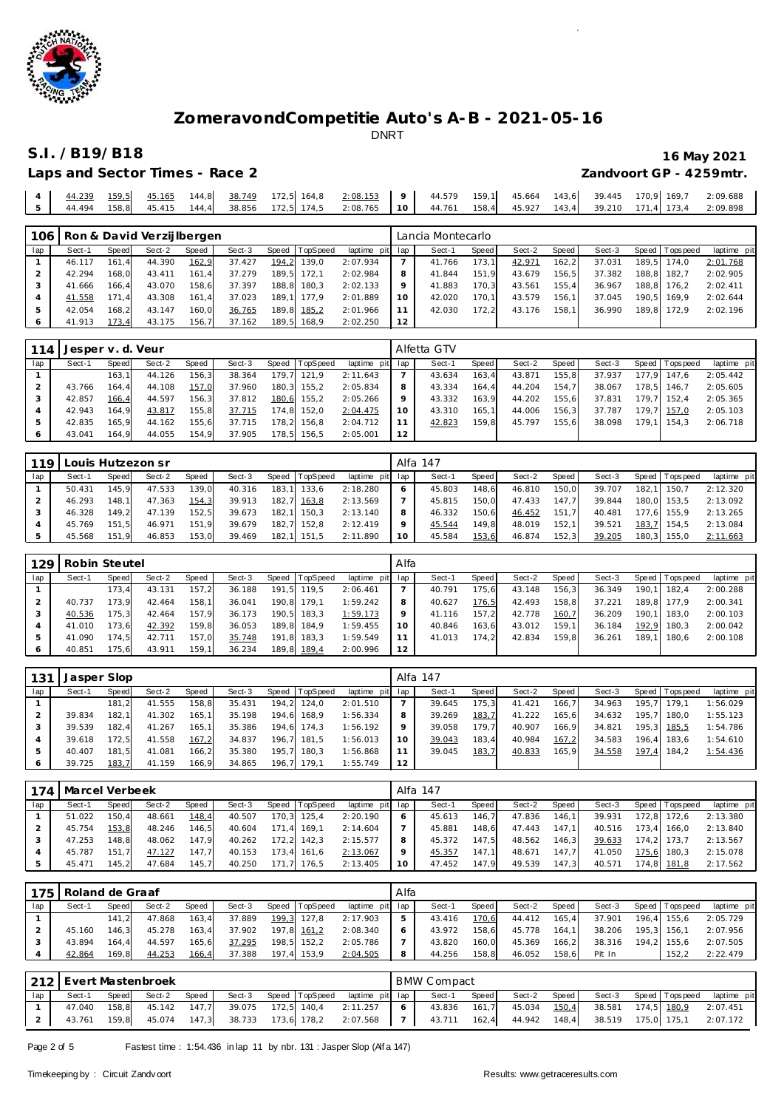

## **S.I. /B19/B18 16 May 2021**

| Laps and Sector Times - Race 2 | Zandvoort GP - 4259mtr. |
|--------------------------------|-------------------------|

|  |  |  | 5   44.494 158,8  45.415 144,4  38.856 172,5  174,5 2:08.765   10   44.761 158,4  45.927 143,4 39.210 171,4 173,4 2:09.898 |  |  |  |  |  |
|--|--|--|----------------------------------------------------------------------------------------------------------------------------|--|--|--|--|--|

| 106 |          |       | Ron & David Verzijlbergen |       |        |                |                 |         | Lancia Montecarlo |       |        |        |        |                   |             |
|-----|----------|-------|---------------------------|-------|--------|----------------|-----------------|---------|-------------------|-------|--------|--------|--------|-------------------|-------------|
| lap | $Sect-1$ | Speed | Sect-2                    | Speed | Sect-3 | Speed TopSpeed | laptime pit lap |         | Sect-1            | Speed | Sect-2 | Speed  | Sect-3 | Speed   Tops peed | laptime pit |
|     | 46.117   | 161.4 | 44.390                    | 162,9 | 37.427 | 194,2 139,0    | 2:07.934        |         | 41.766            | 173.1 | 42.971 | 162, 2 | 37.031 | 189.5 174.0       | 2:01.768    |
|     | 42.294   | 168.0 | 43.411                    | 161.4 | 37.279 | 189.5 172.1    | 2:02.984        | 8       | 41.844            | 151.9 | 43.679 | 156.5  | 37.382 | 188.8 182.7       | 2:02.905    |
|     | 41.666   | 166.4 | 43.070                    | 158.6 | 37.397 | 188.8 180.3    | 2:02.133        | $\circ$ | 41.883            | 170.3 | 43.561 | 155.4  | 36.967 | 188.8 176.2       | 2:02.411    |
|     | 41.558   | 171.4 | 43.308                    | 161.4 | 37.023 | 189.1 177.9    | 2:01.889        | 10      | 42.020            | 170.1 | 43.579 | 156.1  | 37.045 | 190.5 169.9       | 2:02.644    |
|     | 42.054   | 168.2 | 43.147                    | 160.0 | 36.765 | 189,8 185,2    | 2:01.966        |         | 42.030            | 172.2 | 43.176 | 158.1  | 36.990 | 189.8 172.9       | 2:02.196    |
|     | 41.913   | 173.4 | 43.175                    | 156.7 | 37.162 | 189.5 168.9    | 2:02.250        | 12      |                   |       |        |        |        |                   |             |

| 114 | Jesper v. d. Veur |       |        |       |        |       |             |                 |         | Alfetta GTV |        |        |       |        |       |                 |             |
|-----|-------------------|-------|--------|-------|--------|-------|-------------|-----------------|---------|-------------|--------|--------|-------|--------|-------|-----------------|-------------|
| lap | Sect-1            | Speed | Sect-2 | Speed | Sect-3 | Speed | TopSpeed    | laptime pit lap |         | Sect-1      | Speed  | Sect-2 | Speed | Sect-3 |       | Speed Tops peed | laptime pit |
|     |                   | 163.1 | 44.126 | 156.3 | 38.364 | 179.7 | 121.9       | 2:11.643        |         | 43.634      | 163.4  | 43.871 | 155.8 | 37.937 |       | 177.9 147.6     | 2:05.442    |
|     | 43.766            | 164.4 | 44.108 | 157.0 | 37.960 |       | 180,3 155,2 | 2:05.834        | 8       | 43.334      | 164.4  | 44.204 | 154.7 | 38.067 |       | 178.5 146.7     | 2:05.605    |
|     | 42.857            | 166.4 | 44.597 | 156,3 | 37.812 | 180,6 | 155.2       | 2:05.266        | $\circ$ | 43.332      | 163.9  | 44.202 | 155.6 | 37.831 | 179.7 | 152.4           | 2:05.365    |
|     | 42.943            | 164.9 | 43.817 | 155,8 | 37.715 | 174,8 | 152.0       | 2:04.475        | 10      | 43.310      | 165.11 | 44.006 | 156.3 | 37.787 |       | 179.7 157.0     | 2:05.103    |
|     | 42.835            | 165.9 | 44.162 | 155.6 | 37.715 | 178.2 | 156.8       | 2:04.712        |         | 42.823      | 159.8  | 45.797 | 155.6 | 38.098 | 179.1 | 154.3           | 2:06.718    |
|     | 43.041            | 164.9 | 44.055 | 154,9 | 37.905 |       | 178,5 156,5 | 2:05.001        | 12      |             |        |        |       |        |       |                 |             |

| 119 |        |       | Louis Hutzezon sr |              |        |       |                |                 |         | Alfa 147 |       |        |       |        |       |                 |             |
|-----|--------|-------|-------------------|--------------|--------|-------|----------------|-----------------|---------|----------|-------|--------|-------|--------|-------|-----------------|-------------|
| lap | Sect-1 | Speed | Sect-2            | <b>Speed</b> | Sect-3 |       | Speed TopSpeed | laptime pit lap |         | Sect-1   | Speed | Sect-2 | Speed | Sect-3 |       | Speed Tops peed | laptime pit |
|     | 50.431 | 145.9 | 47.533            | 139.0        | 40.316 | 183.1 | 133.6          | 2:18.280        |         | 45.803   | 148.6 | 46.810 | 150.0 | 39.707 |       | 182.1 150.7     | 2:12.320    |
|     | 46.293 | 148.1 | 47.363            | 154.3        | 39.913 | 182.7 | 163.8          | 2:13.569        |         | 45.815   | 150.0 | 47.433 | 147.7 | 39.844 |       | 180.0 153.5     | 2:13.092    |
|     | 46.328 | 149.2 | 47.139            | 152.5        | 39.673 |       | 182.1 150.3    | 2:13.140        | 8       | 46.332   | 150.6 | 46.452 | 151.7 | 40.481 |       | 177.6 155.9     | 2:13.265    |
|     | 45.769 | 151.5 | 46.971            | 151.9        | 39.679 |       | 182.7 152.8    | 2:12.419        | $\circ$ | 45.544   | 149.8 | 48.019 | 152.1 | 39.521 |       | 183,7 154,5     | 2:13.084    |
|     | 45.568 | 151.9 | 46.853            | 153,0        | 39.469 |       | 182,1 151,5    | 2:11.890        | -10     | 45.584   | 153,6 | 46.874 | 152,3 | 39.205 | 180,3 | 155.0           | 2:11.663    |

| 129 | Robin Steutel |       |        |        |        |       |                |                 | Alfa    |        |       |        |       |        |       |                 |             |
|-----|---------------|-------|--------|--------|--------|-------|----------------|-----------------|---------|--------|-------|--------|-------|--------|-------|-----------------|-------------|
| lap | Sect-1        | Speed | Sect-2 | Speed  | Sect-3 |       | Speed TopSpeed | laptime pit lap |         | Sect-1 | Speed | Sect-2 | Speed | Sect-3 |       | Speed Tops peed | laptime pit |
|     |               | 173.4 | 43.131 | 157.2  | 36.188 | 191.5 | 119.5          | 2:06.461        |         | 40.791 | 175.6 | 43.148 | 156.3 | 36.349 | 190.1 | 182.4           | 2:00.288    |
|     | 40.737        | 173.9 | 42.464 | 158.11 | 36.041 | 190.8 | 179.1          | 1:59.242        | 8       | 40.627 | 176,5 | 42.493 | 158.8 | 37.221 | 189.8 | 177.9           | 2:00.341    |
|     | 40.536        | 175.3 | 42.464 | 157.9  | 36.173 | 190.5 | 183.3          | 1:59.173        | $\circ$ | 41.116 | 157.2 | 42.778 | 160,7 | 36.209 | 190.1 | 183.0           | 2:00.103    |
|     | 41.010        | 173.6 | 42.392 | 159.8  | 36.053 | 189.8 | 184.9          | 1:59.455        | 10      | 40.846 | 163.6 | 43.012 | 159.1 | 36.184 | 192.9 | 180.3           | 2:00.042    |
|     | 41.090        | 174.5 | 42.711 | 157.0  | 35.748 | 191,8 | 183.3          | 1:59.549        |         | 41.013 | 174.2 | 42.834 | 159.8 | 36.261 | 189.1 | 180.6           | 2:00.108    |
|     | 40.851        | 175.6 | 43.911 | 159.1  | 36.234 |       | 189,8 189,4    | 2:00.996        | 12      |        |       |        |       |        |       |                 |             |

| 131 | Jasper Slop |              |        |       |        |         |                 |                 |    | Alfa 147 |       |        |       |        |                 |             |
|-----|-------------|--------------|--------|-------|--------|---------|-----------------|-----------------|----|----------|-------|--------|-------|--------|-----------------|-------------|
| lap | Sect-1      | <b>Speed</b> | Sect-2 | Speed | Sect-3 | Speed T | <b>TopSpeed</b> | laptime pit lap |    | Sect-1   | Speed | Sect-2 | Speed | Sect-3 | Speed Tops peed | laptime pit |
|     |             | 181.2        | 41.555 | 158,8 | 35.431 | 194,2   | 124.0           | 2:01.510        |    | 39.645   | 175.3 | 41.421 | 166.7 | 34.963 | 195.7 179.1     | 1:56.029    |
|     | 39.834      | 182.1        | 41.302 | 165.1 | 35.198 |         | 194,6 168,9     | 1:56.334        | 8  | 39.269   | 183,7 | 41.222 | 165.6 | 34.632 | 195.7 180.0     | 1:55.123    |
|     | 39.539      | 182.4        | 41.267 | 165.1 | 35.386 |         | 194.6 174.3     | 1:56.192        | Q  | 39.058   | 179.7 | 40.907 | 166.9 | 34.821 | 195,3 185,5     | 1:54.786    |
|     | 39.618      | 172.5        | 41.558 | 167,2 | 34.837 | 196.7   | 181.5           | 1:56.013        | 10 | 39.043   | 183,4 | 40.984 | 167.2 | 34.583 | 196.4 183.6     | 1:54.610    |
|     | 40.407      | 181.5        | 41.081 | 166,2 | 35.380 | 195.7   | 180.3           | 1:56.868        |    | 39.045   | 183,7 | 40.833 | 165,9 | 34.558 | 197,4 184,2     | 1:54.436    |
|     | 39.725      | 183.7        | 41.159 | 166,9 | 34.865 |         | 196.7 179.1     | 1:55.749        | 12 |          |       |        |       |        |                 |             |

|     | 174   Marcel Verbeek |       |        |       |        |       |             |                 |         | Alfa 147 |       |        |       |        |                |             |
|-----|----------------------|-------|--------|-------|--------|-------|-------------|-----------------|---------|----------|-------|--------|-------|--------|----------------|-------------|
| lap | Sect-1               | Speed | Sect-2 | Speed | Sect-3 | Speed | TopSpeed    | laptime pit lap |         | Sect-1   | Speed | Sect-2 | Speed | Sect-3 | Speed Topspeed | laptime pit |
|     | 51.022               | 150.4 | 48.661 | 148,4 | 40.507 |       | 170.3 125.4 | 2:20.190        | $\circ$ | 45.613   | 146.7 | 47.836 | 146.1 | 39.931 | 172.8 172.6    | 2:13.380    |
|     | 45.754               | 153,8 | 48.246 | 146.5 | 40.604 | 171.4 | 169.1       | 2:14.604        |         | 45.881   | 148.6 | 47.443 | 147.1 | 40.516 | 173.4 166.0    | 2:13.840    |
|     | 47.253               | 148.8 | 48.062 | 147.9 | 40.262 | 172.2 | 142.3       | 2:15.577        | 8       | 45.372   | 147.5 | 48.562 | 146,3 | 39.633 | 174.2 173.7    | 2:13.567    |
|     | 45.787               | 151.7 | 47.127 | 147.7 | 40.153 | 173.4 | 161.6       | 2:13.067        | $\circ$ | 45.357   | 147.1 | 48.671 | 147.7 | 41.050 | 175.6 180.3    | 2:15.078    |
|     | 45.471               | 145.2 | 47.684 | 145.7 | 40.250 | 171.7 | 176.5       | 2:13.405        | 10      | 47.452   | 147.9 | 49.539 | 147.3 | 40.571 | 174,8 181,8    | 2:17.562    |

| 175 | i Roland de Graaf |       |        |        |        |       |             |             | Alfa |        |         |        |       |        |       |                 |             |
|-----|-------------------|-------|--------|--------|--------|-------|-------------|-------------|------|--------|---------|--------|-------|--------|-------|-----------------|-------------|
| lap | Sect-1            | Speed | Sect-2 | Speed  | Sect-3 | Speed | TopSpeed    | laptime pit | lap  | Sect-1 | Speed I | Sect-2 | Speed | Sect-3 |       | Speed Tops peed | laptime pit |
|     |                   | 141.2 | 47.868 | 163.4  | 37.889 |       | 199.3 127.8 | 2:17.903    | 5    | 43.416 | 170.6   | 44.412 | 165.4 | 37.901 | 196.4 | 155.6           | 2:05.729    |
|     | 45.160            | 146.3 | 45.278 | 163.4  | 37.902 |       | 197,8 161,2 | 2:08.340    |      | 43.972 | 158.6   | 45.778 | 164.1 | 38.206 |       | 195.3 156.1     | 2:07.956    |
|     | 43.894            | 164.4 | 44.597 | 165.6  | 37.295 | 198,5 | 152.2       | 2:05.786    |      | 43.820 | 160.0   | 45.369 | 166.2 | 38.316 | 194.2 | 155.6           | 2:07.505    |
|     | 42.864            | 169.8 | 44.253 | 166, 4 | 37.388 | 197.4 | 153,9       | 2:04.505    |      | 44.256 | 158,8   | 46.052 | 158.6 | Pit In |       | 152,2           | 2:22.479    |

|     |        |       | 212 Evert Mastenbroek |       |        |  |                                            |   | <b>BMW Compact</b> |       |              |       |        |                       |                                |
|-----|--------|-------|-----------------------|-------|--------|--|--------------------------------------------|---|--------------------|-------|--------------|-------|--------|-----------------------|--------------------------------|
| lap | Sect-1 | Speed | Sect-2                | Speed |        |  | Sect-3 Speed TopSpeed laptime pit lap      |   | Sect-1             | Speed | Sect-2 Speed |       |        | Sect-3 Speed Topspeed | laptime pit                    |
|     | 47.040 | 158.8 | 45.142 147.7          |       | 39.075 |  | 172,5 140,4 2:11.257                       | 6 | 43.836             | 161,7 | 45.034       | 150,4 | 38.581 | 174,5 180,9           | 2:07.451                       |
|     | 43.761 | 159.8 | 45.074                |       |        |  | 147,3 38.733 173,6 178,2 2:07.568 7 43.711 |   |                    | 162,4 | 44.942       | 148.4 |        |                       | 38.519  175,0  175,1  2:07.172 |

Page 2 of 5 Fastest time : 1:54.436 in lap 11 by nbr. 131 : Jasper Slop (Alf a 147)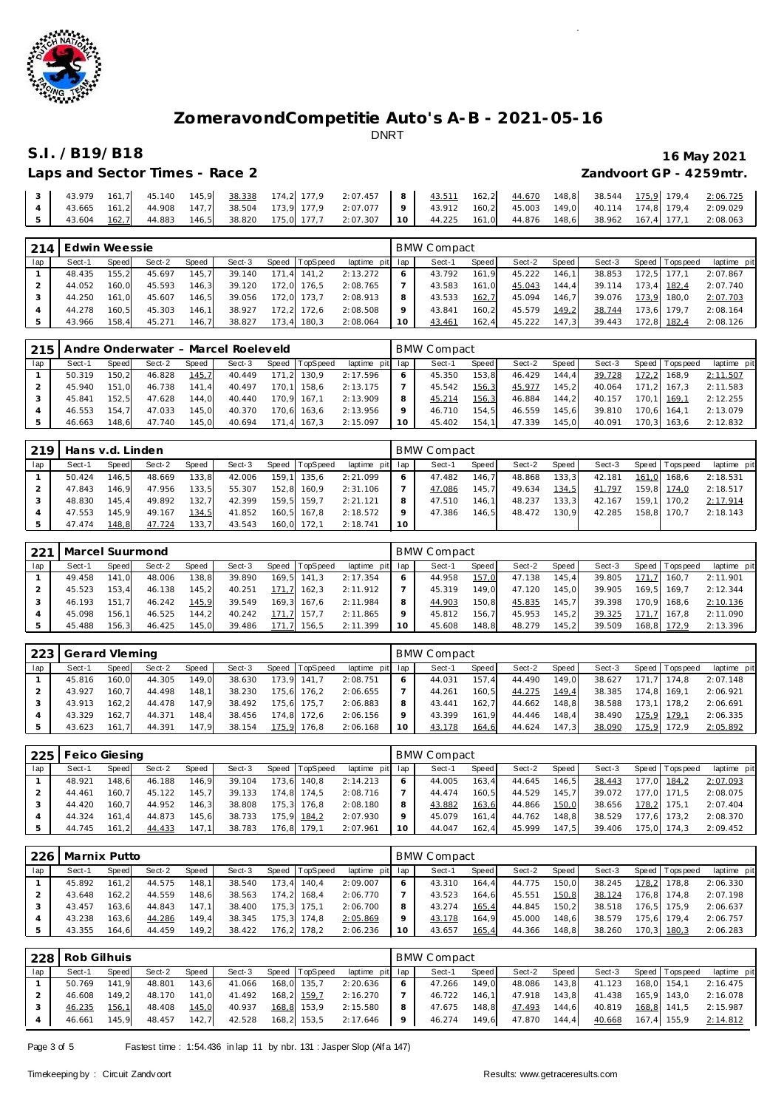

# **S.I. /B19/B18 16 May 2021**

| Laps and Sector Times - Race 2 | Zandvoort GP - 4259mtr. |
|--------------------------------|-------------------------|

|  |  |  | 3   43.979 161,7   45.140 145,9 3 <u>8.338</u> 174,2 177,9 2:07.457   8   <u>43.511</u> 162,2 <u>44.670</u> 148,8 38.544 <u>175,9</u> 179,4 2:0 <u>6.725</u> |  |  |  |  |  |
|--|--|--|--------------------------------------------------------------------------------------------------------------------------------------------------------------|--|--|--|--|--|
|  |  |  | 4   43.665 161,2   44.908 147,7   38.504 173,9 177,9 2:07.077   9   43.912 160,2   45.003 149,0   40.114 174,8 179,4 2:09.029                                |  |  |  |  |  |
|  |  |  | 5   43.604 <u>162,7</u> 44.883 146,5 38.820 175,0 177,7 2:07.307   10   44.225 161,0 44.876 148,6 38.962 167,4 177,1 2:08.063                                |  |  |  |  |  |

| 214 | Edwin Weessie |       |        |       |        |       |                |                 |         | BMW Compact |         |        |       |        |       |                 |             |
|-----|---------------|-------|--------|-------|--------|-------|----------------|-----------------|---------|-------------|---------|--------|-------|--------|-------|-----------------|-------------|
| lap | Sect-1        | Speed | Sect-2 | Speed | Sect-3 |       | Speed TopSpeed | laptime pit lap |         | Sect-1      | Speed I | Sect-2 | Speed | Sect-3 |       | Speed Tops peed | laptime pit |
|     | 48.435        | 155.2 | 45.697 | 145.7 | 39.140 |       | 171.4 141.2    | 2:13.272        | 6       | 43.792      | 161.9   | 45.222 | 146.1 | 38.853 | 172.5 | 177.1           | 2:07.867    |
|     | 44.052        | 160.0 | 45.593 | 146,3 | 39.120 | 172.0 | 176.5          | 2:08.765        |         | 43.583      | 161.0   | 45.043 | 144.4 | 39.114 |       | 173.4 182.4     | 2:07.740    |
|     | 44.250        | 161.0 | 45.607 | 146.5 | 39.056 |       | 172.0 173.7    | 2:08.913        | 8       | 43.533      | 162,7   | 45.094 | 146.7 | 39.076 | 173.9 | 180.0           | 2:07.703    |
|     | 44.278        | 160.5 | 45.303 | 146.1 | 38.927 | 172.2 | 172,6          | 2:08.508        | $\circ$ | 43.841      | 160.2   | 45.579 | 149.2 | 38.744 |       | 173.6 179.7     | 2:08.164    |
|     | 43.966        | 158.4 | 45.271 | 146.7 | 38.827 |       | 173.4 180.3    | 2:08.064        | 10      | 43.461      | 162,4   | 45.222 | 147.3 | 39.443 |       | 172,8 182,4     | 2:08.126    |

| 215 |        |       |        |       | Andre Onderwater - Marcel Roeleveld |       |                |                 |         | <b>BMW Compact</b> |       |        |       |        |       |                 |             |
|-----|--------|-------|--------|-------|-------------------------------------|-------|----------------|-----------------|---------|--------------------|-------|--------|-------|--------|-------|-----------------|-------------|
| lap | Sect-1 | Speed | Sect-2 | Speed | Sect-3                              |       | Speed TopSpeed | laptime pit lap |         | Sect-1             | Speed | Sect-2 | Speed | Sect-3 |       | Speed Tops peed | laptime pit |
|     | 50.319 | 150.2 | 46.828 | 145,7 | 40.449                              | 171.2 | 130.9          | 2:17.596        | $\circ$ | 45.350             | 153.8 | 46.429 | 144.4 | 39.728 | 172,2 | 168.9           | 2:11.507    |
|     | 45.940 | 151.0 | 46.738 | 141.4 | 40.497                              | 170.1 | 158.6          | 2:13.175        |         | 45.542             | 156,3 | 45.977 | 145.2 | 40.064 |       | 171.2 167.3     | 2:11.583    |
|     | 45.841 | 152.5 | 47.628 | 144.0 | 40.440                              |       | 170.9 167.1    | 2:13.909        | 8       | 45.214             | 156,3 | 46.884 | 144.2 | 40.157 |       | 170.1 169.1     | 2:12.255    |
|     | 46.553 | 154.7 | 47.033 | 145.0 | 40.370                              |       | 170.6 163.6    | 2:13.956        | $\circ$ | 46.710             | 154.5 | 46.559 | 145.6 | 39.810 | 170.6 | 164.1           | 2:13.079    |
|     | 46.663 | 148.6 | 47.740 | 145.0 | 40.694                              |       | 171,4 167,3    | 2:15.097        | 10      | 45.402             | 154.7 | 47.339 | 145.0 | 40.091 |       | 170.3 163.6     | 2:12.832    |

| 219 | Hans v.d. Linden |       |        |       |        |       |             |                 |    | <b>BMW Compact</b> |                    |        |       |        |       |                 |             |
|-----|------------------|-------|--------|-------|--------|-------|-------------|-----------------|----|--------------------|--------------------|--------|-------|--------|-------|-----------------|-------------|
| lap | Sect-1           | Speed | Sect-2 | Speed | Sect-3 | Speed | TopSpeed    | laptime pit lap |    | Sect-1             | Speed              | Sect-2 | Speed | Sect-3 |       | Speed Tops peed | laptime pit |
|     | 50.424           | 146,5 | 48.669 | 133,8 | 42.006 | 159.1 | 135.6       | 2:21.099        |    | 47.482             | 146.7 <sub>h</sub> | 48.868 | 133,3 | 42.181 | 161.0 | 168.6           | 2:18.531    |
|     | 47.843           | 146.9 | 47.956 | 133.5 | 55.307 | 152.8 | 160.9       | 2:31.106        |    | 47.086             | 145.7              | 49.634 | 134,5 | 41.797 |       | 159.8 174.0     | 2:18.517    |
|     | 48.830           | 145.4 | 49.892 | 132.7 | 42.399 |       | 159.5 159.7 | 2:21.121        | 8  | 47.510             | 146.11             | 48.237 | 133,3 | 42.167 |       | 159.1 170.2     | 2:17.914    |
|     | 47.553           | 145.9 | 49.167 | 134,5 | 41.852 |       | 160,5 167,8 | 2:18.572        |    | 47.386             | 146.5              | 48.472 | 130.9 | 42.285 | 158.8 | 170.7           | 2:18.143    |
|     | 47.474           | 148.8 | 47.724 | 133,7 | 43.543 | 160.0 | 172.1       | 2:18.741        | 10 |                    |                    |        |       |        |       |                 |             |

| 221 | Marcel Suurmond |        |        |       |        |       |          |                 |         | BMW Compact |              |        |       |        |              |                   |             |
|-----|-----------------|--------|--------|-------|--------|-------|----------|-----------------|---------|-------------|--------------|--------|-------|--------|--------------|-------------------|-------------|
| lap | Sect-1          | Speed  | Sect-2 | Speed | Sect-3 | Speed | TopSpeed | laptime pit lap |         | Sect-1      | <b>Speed</b> | Sect-2 | Speed | Sect-3 |              | Speed   Tops peed | laptime pit |
|     | 49.458          | 141.0  | 48.006 | 138.8 | 39.890 | 169.5 | 141.3    | 2:17.354        | O       | 44.958      | 157,0        | 47.138 | 145.4 | 39.805 | 171.         | 160.7             | 2:11.901    |
|     | 45.523          | 153.4  | 46.138 | 145,2 | 40.251 | 171.7 | 162.3    | 2:11.912        |         | 45.319      | 149.0        | 47.120 | 145.0 | 39.905 |              | 169.5 169.7       | 2:12.344    |
|     | 46.193          | 151    | 46.242 | 145.9 | 39.549 | 169.3 | 167.6    | 2:11.984        | 8       | 44.903      | 150.8        | 45.835 | 145.7 | 39.398 | 170.9        | 168.6             | 2:10.136    |
|     | 45.098          | 156.11 | 46.525 | 144,2 | 40.242 | 171.7 | 157.7    | 2:11.865        | $\circ$ | 45.812      | 156.7        | 45.953 | 145.2 | 39.325 | 171.<br>-7 I | 167.8             | 2:11.090    |
|     | 45.488          | 156.3  | 46.425 | 145,0 | 39.486 | 171.7 | 156,5    | 2:11.399        | 10      | 45.608      | 148.8        | 48.279 | 145.2 | 39.509 |              | 168,8 172,9       | 2:13.396    |

| 223 | Gerard Vleming |       |        |       |        |       |                |                 |    | <b>BMW Compact</b> |       |        |         |        |                 |             |
|-----|----------------|-------|--------|-------|--------|-------|----------------|-----------------|----|--------------------|-------|--------|---------|--------|-----------------|-------------|
| lap | Sect-1         | Speed | Sect-2 | Speed | Sect-3 |       | Speed TopSpeed | laptime pit lap |    | Sect-1             | Speed | Sect-2 | Speed I | Sect-3 | Speed Tops peed | laptime pit |
|     | 45.816         | 160.0 | 44.305 | 149.0 | 38.630 | 173.9 | 141.7          | 2:08.751        |    | 44.031             | 157.4 | 44.490 | 149.0   | 38.627 | 171.7 174.8     | 2:07.148    |
|     | 43.927         | 160.7 | 44.498 | 148.1 | 38.230 | 175.6 | 176.2          | 2:06.655        |    | 44.261             | 160.5 | 44.275 | 149,4   | 38.385 | 174.8 169.1     | 2:06.921    |
|     | 43.913         | 162.2 | 44.478 | 147.9 | 38.492 |       | 175.6 175.7    | 2:06.883        |    | 43.441             | 162.7 | 44.662 | 148.8   | 38.588 | 173.1 178.2     | 2:06.691    |
|     | 43.329         | 162.7 | 44.371 | 148.4 | 38.456 | 174.8 | 172.6          | 2:06.156        |    | 43.399             | 161.9 | 44.446 | 148.4   | 38.490 | 175.9 179.1     | 2:06.335    |
|     | 43.623         | 161.7 | 44.391 | 147.9 | 38.154 | 175.9 | 176.8          | 2:06.168        | 10 | 43.178             | 164,6 | 44.624 | 147.3   | 38.090 | 175,9 172,9     | 2:05.892    |

| 225 | Feico Giesing |       |        |       |        |       |          |             |         | <b>BMW Compact</b> |        |        |       |        |       |                   |             |
|-----|---------------|-------|--------|-------|--------|-------|----------|-------------|---------|--------------------|--------|--------|-------|--------|-------|-------------------|-------------|
| lap | Sect-1        | Speed | Sect-2 | Speed | Sect-3 | Speed | TopSpeed | laptime pit | lap     | Sect-1             | Speed  | Sect-2 | Speed | Sect-3 |       | Speed   Tops peed | laptime pit |
|     | 48.921        | 148.6 | 46.188 | 146.9 | 39.104 | 173.6 | 140.8    | 2:14.213    | 6       | 44.005             | 163.4  | 44.645 | 146.5 | 38.443 | 177,0 | 184,2             | 2:07.093    |
|     | 44.461        | 160.7 | 45.122 | 145.7 | 39.133 | 174.8 | 174.5    | 2:08.716    |         | 44.474             | 160.5  | 44.529 | 145.7 | 39.072 |       | 177.0 171.5       | 2:08.075    |
|     | 44.420        | 160.7 | 44.952 | 146.3 | 38.808 | 175.3 | 176.8    | 2:08.180    | 8       | 43.882             | 163,6  | 44.866 | 150,0 | 38.656 | 178.2 | 175.1             | 2:07.404    |
|     | 44.324        | 161.4 | 44.873 | 145.6 | 38.733 | 175.9 | 184.2    | 2:07.930    | $\circ$ | 45.079             | 161.4  | 44.762 | 148.8 | 38.529 | 177.6 | 173.2             | 2:08.370    |
|     | 44.745        | 161.2 | 44.433 | 147,1 | 38.783 | 176,8 | 179.1    | 2:07.961    | 10      | 44.047             | 162, 4 | 45.999 | 147.5 | 39.406 | 175.0 | 174.3             | 2:09.452    |

| 226 | Marnix Putto |       |        |       |        |       |                |             |     | <b>BMW Compact</b> |       |        |       |        |       |            |             |
|-----|--------------|-------|--------|-------|--------|-------|----------------|-------------|-----|--------------------|-------|--------|-------|--------|-------|------------|-------------|
| lap | Sect-1       | Speed | Sect-2 | Speed | Sect-3 |       | Speed TopSpeed | laptime pit | lap | Sect-1             | Speed | Sect-2 | Speed | Sect-3 | Speed | Tops pee d | laptime pit |
|     | 45.892       | 161.2 | 44.575 | 148.1 | 38.540 | 73.4  | 140,4          | 2:09.007    | 6   | 43.310             | 164.4 | 44.775 | 150.0 | 38.245 | 178.2 | 178,8      | 2:06.330    |
|     | 43.648       | 162.2 | 44.559 | 148,6 | 38.563 | 174,2 | 168.4          | 2:06.770    |     | 43.523             | 164.6 | 45.551 | 150,8 | 38.124 | 176,8 | 174.8      | 2:07.198    |
|     | 43.457       | 163.6 | 44.843 | 147.1 | 38.400 | 75.3  | 175.7          | 2:06.700    | 8   | 43.274             | 165,4 | 44.845 | 150.2 | 38.518 | 176.5 | 175.9      | 2:06.637    |
|     | 43.238       | 163.6 | 44.286 | 149.4 | 38.345 | 175.3 | 174.8          | 2:05.869    | o   | 43.178             | 164.9 | 45.000 | 148.6 | 38.579 | 175.6 | 179.4      | 2:06.757    |
|     | 43.355       | 164.6 | 44.459 | 149,2 | 38.422 | 76,2  | 178,2          | 2:06.236    | 10  | 43.657             | 165,4 | 44.366 | 148,8 | 38.260 | 170.3 | 180,3      | 2:06.283    |

|     | 228 Rob Gilhuis |       |        |       |        |                |                 |         | <b>BMW Compact</b> |         |        |         |        |                   |             |
|-----|-----------------|-------|--------|-------|--------|----------------|-----------------|---------|--------------------|---------|--------|---------|--------|-------------------|-------------|
| lap | Sect-1          | Speed | Sect-2 | Speed | Sect-3 | Speed TopSpeed | laptime pit lap |         | Sect-1             | Speed I | Sect-2 | Speed I | Sect-3 | Speed   Tops peed | laptime pit |
|     | 50.769          | 141.9 | 48.801 | 143.6 | 41.066 | 168,0 135,7    | 2:20.636        | $\circ$ | 47.266             | 149.0   | 48.086 | 143.8   | 41.123 | 168,0 154,1       | 2:16.475    |
|     | 46.608          | 149.2 | 48.170 | 141.0 | 41.492 | 168,2 159,7    | 2:16.270        |         | 46.722             | 146.1   | 47.918 | 143.8   | 41.438 | 165.9 143.0       | 2:16.078    |
|     | 46.235          | 156,1 | 48.408 | 145,0 | 40.937 | 168,8 153,9    | 2:15.580        | 8       | 47.675             | 148.8   | 47.493 | 144.6   | 40.819 | 168,8 141,5       | 2:15.987    |
|     | 46.661          | 145.9 | 48.457 | 142.7 | 42.528 | 168,2 153,5    | 2:17.646        | 9       | 46.274             | 149,6   | 47.870 | 144.4   | 40.668 | 167,4 155,9       | 2:14.812    |

Page 3 of 5 Fastest time : 1:54.436 in lap 11 by nbr. 131 : Jasper Slop (Alf a 147)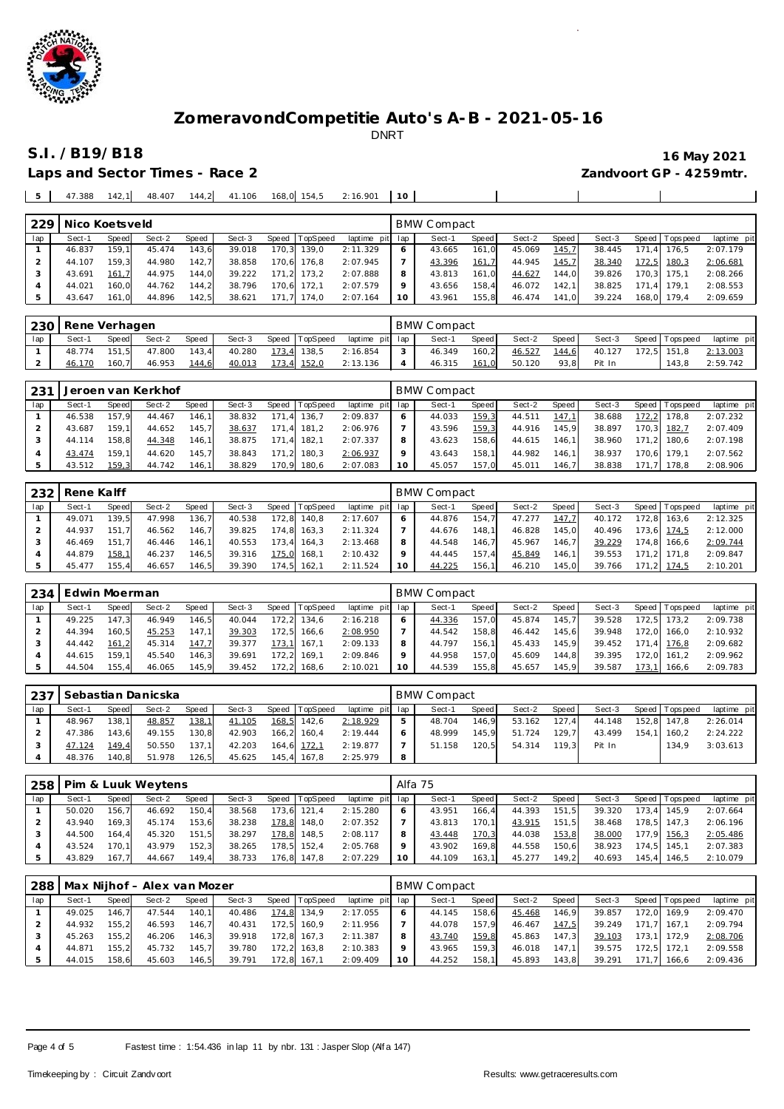

**S.I. /B19/B18 16 May 2021**

**Contract Contract Contract Contract Contract** 

 $\overline{\phantom{a}}$ 

 $\overline{1}$ 

Laps and Sector Times - Race 2

|  | 47.388 | 142.1 | 48.407 |  | 144.2 41.106 |  | 168,0 154,5 | 2:16.901 |  |  |  |
|--|--------|-------|--------|--|--------------|--|-------------|----------|--|--|--|
|--|--------|-------|--------|--|--------------|--|-------------|----------|--|--|--|

| 229 | Nico Koetsveld |       |        |       |        |       |             |                 |         | <b>BMW Compact</b> |       |        |         |        |       |                |             |
|-----|----------------|-------|--------|-------|--------|-------|-------------|-----------------|---------|--------------------|-------|--------|---------|--------|-------|----------------|-------------|
| lap | Sect-1         | Speed | Sect-2 | Speed | Sect-3 | Speed | TopSpeed    | laptime pit lap |         | Sect-1             | Speed | Sect-2 | Speed I | Sect-3 |       | Speed Topspeed | laptime pit |
|     | 46.837         | 159.1 | 45.474 | 143.6 | 39.018 |       | 170.3 139.0 | 2:11.329        |         | 43.665             | 161.0 | 45.069 | 145,7   | 38.445 | 171.4 | 176.5          | 2:07.179    |
|     | 44.107         | 159.3 | 44.980 | 142.7 | 38.858 |       | 170.6 176.8 | 2:07.945        |         | 43.396             | 161,7 | 44.945 | 145,7   | 38.340 | 172,5 | 180,3          | 2:06.681    |
|     | 43.691         | 161.7 | 44.975 | 144.0 | 39.222 |       | 171,2 173,2 | 2:07.888        | 8       | 43.813             | 161.0 | 44.627 | 144.0   | 39.826 |       | 170.3 175.1    | 2:08.266    |
|     | 44.021         | 160.0 | 44.762 | 144.2 | 38.796 | 170.6 | 172.1       | 2:07.579        | $\circ$ | 43.656             | 158.4 | 46.072 | 142.1   | 38.825 |       | 171.4 179.1    | 2:08.553    |
|     | 43.647         | 161.0 | 44.896 | 142,5 | 38.621 | 171.7 | 174.0       | 2:07.164        | 10      | 43.961             | 155,8 | 46.474 | 141.0   | 39.224 |       | 168,0 179,4    | 2:09.659    |

| 230 | Rene Verhagen |       |        |       |        |                |                 | <b>BMW Compact</b> |       |        |       |        |                   |             |
|-----|---------------|-------|--------|-------|--------|----------------|-----------------|--------------------|-------|--------|-------|--------|-------------------|-------------|
| lap | Sect-1        | Speed | Sect-2 | Speed | Sect-3 | Speed TopSpeed | laptime pit lap | Sect-1             | Speed | Sect-2 | Speed | Sect-3 | Speed   Tops peed | laptime pit |
|     | 48.774        | 151.5 | 47.800 | 143.4 | 40.280 | 173,4 138,5    | 2:16.854        | 46.349             | 160.2 | 46.527 | 144,6 | 40.127 | 172,5 151,8       | 2:13.003    |
|     | 46.170        | 160.7 | 46.953 | 144,6 | 40.013 | 173,4 152,0    | 2:13.136        | 46.315             | 161,0 | 50.120 | 93.8  | Pit In | 143.8             | 2:59.742    |

| 231 |        |              | Jeroen van Kerkhof |              |        |       |          |                 |         | BMW Compact |       |        |        |        |       |                |             |
|-----|--------|--------------|--------------------|--------------|--------|-------|----------|-----------------|---------|-------------|-------|--------|--------|--------|-------|----------------|-------------|
| lap | Sect-1 | <b>Speed</b> | Sect-2             | <b>Speed</b> | Sect-3 | Speed | TopSpeed | laptime pit lap |         | Sect-1      | Speed | Sect-2 | Speed  | Sect-3 |       | Speed Topspeed | laptime pit |
|     | 46.538 | 157.9        | 44.467             | 146.1        | 38.832 | 171.4 | 136.7    | 2:09.837        | 6       | 44.033      | 159.3 | 44.511 | 147.1  | 38.688 | 172.2 | 178.8          | 2:07.232    |
|     | 43.687 | 159.11       | 44.652             | 145.7        | 38.637 | 171.4 | 181.2    | 2:06.976        |         | 43.596      | 159,3 | 44.916 | 145.9  | 38.897 |       | 170,3 182,7    | 2:07.409    |
|     | 44.114 | 158.8        | 44.348             | 146,1        | 38.875 | 171.4 | 182.1    | 2:07.337        | 8       | 43.623      | 158.6 | 44.615 | 146.1  | 38.960 |       | 171.2 180.6    | 2:07.198    |
|     | 43.474 | 159.1        | 44.620             | 145.7        | 38.843 | 171.2 | 180.3    | 2:06.937        | $\circ$ | 43.643      | 158.1 | 44.982 | 146.11 | 38.937 |       | 170.6 179.1    | 2:07.562    |
|     | 43.512 | 159,3        | 44.742             | 146.1        | 38.829 | 170.9 | 180,6    | 2:07.083        | 10      | 45.057      | 157,0 | 45.011 | 146.7  | 38.838 |       | 171.7 178.8    | 2:08.906    |

|     | 232 Rene Kalff |       |        |       |        |       |                |             |     | <b>BMW Compact</b> |       |        |       |        |       |                |             |
|-----|----------------|-------|--------|-------|--------|-------|----------------|-------------|-----|--------------------|-------|--------|-------|--------|-------|----------------|-------------|
| lap | Sect-1         | Speed | Sect-2 | Speed | Sect-3 |       | Speed TopSpeed | laptime pit | lap | Sect-1             | Speed | Sect-2 | Speed | Sect-3 |       | Speed Topspeed | laptime pit |
|     | 49.071         | 139.5 | 47.998 | 136.7 | 40.538 | 172.8 | 140.8          | 2:17.607    | 6   | 44.876             | 154.7 | 47.277 | 147.7 | 40.172 | 172.8 | 163.6          | 2:12.325    |
|     | 44.937         | 151.7 | 46.562 | 146.7 | 39.825 |       | 174.8 163.3    | 2:11.324    |     | 44.676             | 148.1 | 46.828 | 145.0 | 40.496 |       | 173.6 174.5    | 2:12.000    |
|     | 46.469         | 151.7 | 46.446 | 146.1 | 40.553 |       | 173.4 164.3    | 2:13.468    | 8   | 44.548             | 146.7 | 45.967 | 146.7 | 39.229 |       | 174.8 166.6    | 2:09.744    |
|     | 44.879         | 158,1 | 46.237 | 146,5 | 39.316 | 175.0 | 168.1          | 2:10.432    | Q   | 44.445             | 157.4 | 45.849 | 146.1 | 39.553 |       | 171.2 171.8    | 2:09.847    |
|     | 45.477         | 155.4 | 46.657 | 146,5 | 39.390 |       | 174.5 162.1    | 2:11.524    | 10  | 44.225             | 156,1 | 46.210 | 145.0 | 39.766 | 171   | $.2$ 174.5     | 2:10.201    |

| 234 | Edwin Moerman |              |        |       |        |       |          |                 |    | BMW Compact |       |        |       |        |         |                 |             |
|-----|---------------|--------------|--------|-------|--------|-------|----------|-----------------|----|-------------|-------|--------|-------|--------|---------|-----------------|-------------|
| lap | Sect-1        | <b>Speed</b> | Sect-2 | Speed | Sect-3 | Speed | TopSpeed | laptime pit lap |    | Sect-1      | Speed | Sect-2 | Speed | Sect-3 | Speed I | <b>Topspeed</b> | laptime pit |
|     | 49.225        | 147.3        | 46.949 | 146.5 | 40.044 | 172.2 | 134.6    | 2:16.218        |    | 44.336      | 157.0 | 45.874 | 145.7 | 39.528 | 172.5   | 173.2           | 2:09.738    |
|     | 44.394        | 160.5        | 45.253 | 147.1 | 39.303 | 172.5 | 166.6    | 2:08.950        |    | 44.542      | 158.8 | 46.442 | 145.6 | 39.948 | 172.0   | 166.0           | 2:10.932    |
|     | 44.442        | 161.2        | 45.314 | 147.7 | 39.377 | 173.1 | 167.1    | 2:09.133        | 8  | 44.797      | 156.1 | 45.433 | 145.9 | 39.452 | 171.4   | 176.8           | 2:09.682    |
|     | 44.615        | 159.11       | 45.540 | 146.3 | 39.691 | 172.2 | 169.1    | 2:09.846        |    | 44.958      | 157.0 | 45.609 | 144.8 | 39.395 | 172.0   | 161.2           | 2:09.962    |
|     | 44.504        | 155.4        | 46.065 | 145,9 | 39.452 | 172,2 | 168,6    | 2:10.021        | 10 | 44.539      | 155,8 | 45.657 | 145,9 | 39.587 | 173,1   | 166,6           | 2:09.783    |

| 237 |        |       | Sebastian Danicska |       |        |                  |                 |         | <b>BMW Compact</b> |       |        |       |        |                 |             |
|-----|--------|-------|--------------------|-------|--------|------------------|-----------------|---------|--------------------|-------|--------|-------|--------|-----------------|-------------|
| lap | Sect-1 | Speed | Sect-2             | Speed | Sect-3 | Speed   TopSpeed | laptime pit lap |         | Sect-1             | Speed | Sect-2 | Speed | Sect-3 | Speed Tops peed | laptime pit |
|     | 48.967 | 138.1 | 48.857             | 138,  | 41.105 | 168,5 142,6      | 2:18.929        | ь       | 48.704             | 146.9 | 53.162 | 127.4 | 44.148 | 152.8 147.8     | 2:26.014    |
|     | 47.386 | 143.6 | 49.155             | 130.8 | 42.903 | 166.2 160.4      | 2:19.444        | $\circ$ | 48.999             | 145.9 | 51.724 | 129.7 | 43.499 | 154.1 160.2     | 2:24.222    |
|     | 47.124 | 149.4 | 50.550             | 137.1 | 42.203 | 164,6 172,1      | 2:19.877        |         | 51.158             | 120.5 | 54.314 | 119.3 | Pit In | 134.9           | 3:03.613    |
|     | 48.376 | 140.8 | 51.978             | 126,5 | 45.625 | 145,4 167,8      | 2:25.979        | 8       |                    |       |        |       |        |                 |             |

| 258 |        |              | Pim & Luuk Weytens |       |        |       |                |                 | Alfa 75 |        |                    |        |         |        |                 |             |
|-----|--------|--------------|--------------------|-------|--------|-------|----------------|-----------------|---------|--------|--------------------|--------|---------|--------|-----------------|-------------|
| lap | Sect-1 | <b>Speed</b> | Sect-2             | Speed | Sect-3 |       | Speed TopSpeed | laptime pit lap |         | Sect-1 | Speed              | Sect-2 | Speed I | Sect-3 | Speed Tops peed | laptime pit |
|     | 50.020 | 156.7        | 46.692             | 150.4 | 38.568 | 173.6 | 121.4          | 2:15.280        |         | 43.951 | 166.4              | 44.393 | 151.5   | 39.320 | 173.4 145.9     | 2:07.664    |
|     | 43.940 | 169.3        | 45.174             | 153,6 | 38.238 | 178.8 | 148.0          | 2:07.352        |         | 43.813 | 170.1 <sub>1</sub> | 43.915 | 151.5   | 38.468 | 178.5 147.3     | 2:06.196    |
|     | 44.500 | 164.4        | 45.320             | 151.5 | 38.297 | 178.8 | 148.5          | 2:08.117        |         | 43.448 | 170,3              | 44.038 | 153,8   | 38.000 | 177,9 156,3     | 2:05.486    |
|     | 43.524 | 170.11       | 43.979             | 152.3 | 38.265 |       | 178.5 152.4    | 2:05.768        |         | 43.902 | 169.8              | 44.558 | 150.6   | 38.923 | 174.5 145.1     | 2:07.383    |
|     | 43.829 | 167.7        | 44.667             | 149.4 | 38.733 | 176,8 | 147.8          | 2:07.229        | 10      | 44.109 | 163.1              | 45.277 | 149.2   | 40.693 | 145.4 146.5     | 2:10.079    |

| 288 | Max Nijhof - Alex van Mozer |       |        |       |        |       |                |                 |         | BMW Compact |        |        |       |        |       |                 |             |  |  |
|-----|-----------------------------|-------|--------|-------|--------|-------|----------------|-----------------|---------|-------------|--------|--------|-------|--------|-------|-----------------|-------------|--|--|
| lap | Sect-1                      | Speed | Sect-2 | Speed | Sect-3 |       | Speed TopSpeed | laptime pit lap |         | Sect-1      | Speed  | Sect-2 | Speed | Sect-3 |       | Speed Tops peed | laptime pit |  |  |
|     | 49.025                      | 146.7 | 47.544 | 140.1 | 40.486 | 174.8 | 134.9          | 2:17.055        | 6       | 44.145      | 158.6  | 45.468 | 146.9 | 39.857 |       | 172.0 169.9     | 2:09.470    |  |  |
|     | 44.932                      | 155.2 | 46.593 | 146.7 | 40.431 |       | 172.5 160.9    | 2:11.956        |         | 44.078      | 157.9  | 46.467 | 147.5 | 39.249 |       | 171.7 167.1     | 2:09.794    |  |  |
|     | 45.263                      | 155.2 | 46.206 | 146.3 | 39.918 |       | 172.8 167.3    | 2:11.387        | 8       | 43.740      | 159.8  | 45.863 | 147.3 | 39.103 |       | 173.1 172.9     | 2:08.706    |  |  |
|     | 44.871                      | 155.2 | 45.732 | 145.7 | 39.780 |       | 172.2 163.8    | 2:10.383        | $\circ$ | 43.965      | 159.31 | 46.018 | 147.1 | 39.575 |       | 172.5 172.1     | 2:09.558    |  |  |
|     | 44.015                      | 158.6 | 45.603 | 146,5 | 39.791 |       | 172.8 167.1    | 2:09.409        | 10      | 44.252      | 158.1  | 45.893 | 143.8 | 39.291 | 171.7 | 166.6           | 2:09.436    |  |  |